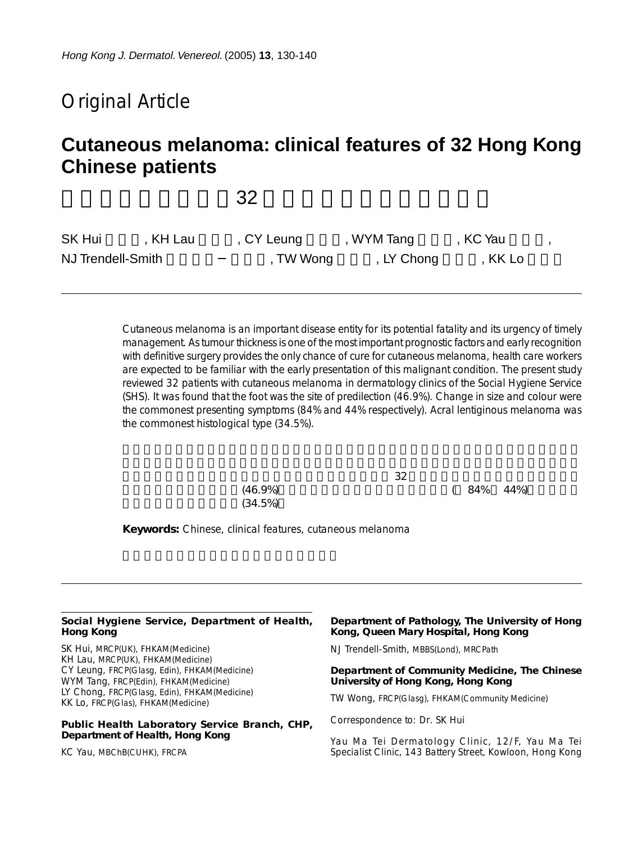# Original Article

# **Cutaneous melanoma: clinical features of 32 Hong Kong Chinese patients**

 $32$ 

| <b>SK Hui</b>     | . KH Lau | , CY Leung | , WYM Tang | , KC Yau |  |
|-------------------|----------|------------|------------|----------|--|
| NJ Trendell-Smith |          | , TW Wong  | , LY Chong | , KK Lo  |  |

Cutaneous melanoma is an important disease entity for its potential fatality and its urgency of timely management. As tumour thickness is one of the most important prognostic factors and early recognition with definitive surgery provides the only chance of cure for cutaneous melanoma, health care workers are expected to be familiar with the early presentation of this malignant condition. The present study reviewed 32 patients with cutaneous melanoma in dermatology clinics of the Social Hygiene Service (SHS). It was found that the foot was the site of predilection (46.9%). Change in size and colour were the commonest presenting symptoms (84% and 44% respectively). Acral lentiginous melanoma was the commonest histological type (34.5%).

> $(46.9\%)$  ( 84% 44%)  $(34.5%)$

 $32$ 

**Keywords:** Chinese, clinical features, cutaneous melanoma

#### **Social Hygiene Service, Department of Health, Hong Kong**

SK Hui, MRCP(UK), FHKAM(Medicine) KH Lau, MRCP(UK), FHKAM(Medicine) CY Leung, FRCP(Glasg, Edin), FHKAM(Medicine) WYM Tang, FRCP(Edin), FHKAM(Medicine) LY Chong, FRCP(Glasg, Edin), FHKAM(Medicine) KK Lo, FRCP(Glas), FHKAM(Medicine)

#### **Public Health Laboratory Service Branch, CHP, Department of Health, Hong Kong**

KC Yau, MBChB(CUHK), FRCPA

#### **Department of Pathology, The University of Hong Kong, Queen Mary Hospital, Hong Kong**

NJ Trendell-Smith, MBBS(Lond), MRCPath

#### **Department of Community Medicine, The Chinese University of Hong Kong, Hong Kong**

TW Wong, FRCP(Glasg), FHKAM(Community Medicine)

Correspondence to: Dr. SK Hui

Yau Ma Tei Dermatology Clinic, 12/F, Yau Ma Tei Specialist Clinic, 143 Battery Street, Kowloon, Hong Kong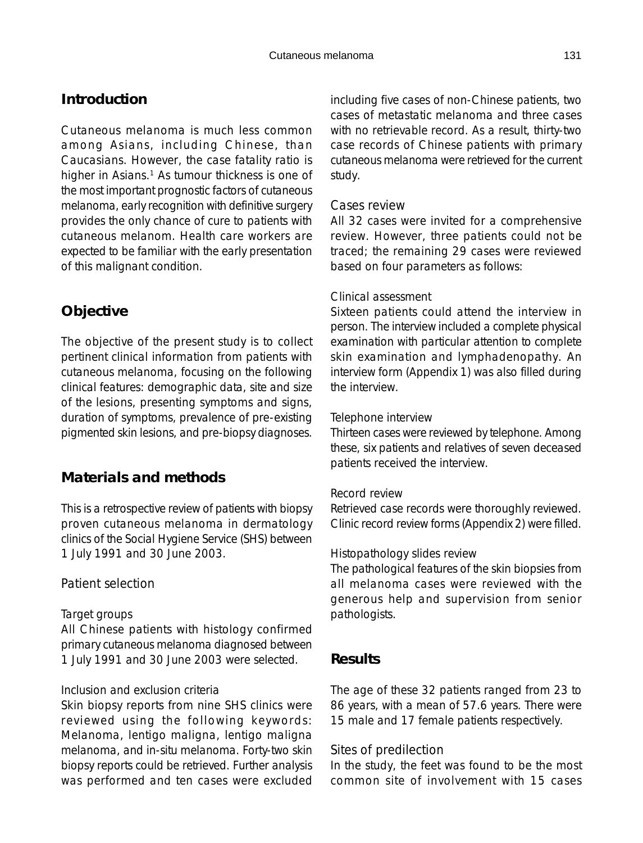## **Introduction**

Cutaneous melanoma is much less common among Asians, including Chinese, than Caucasians. However, the case fatality ratio is higher in Asians.<sup>1</sup> As tumour thickness is one of the most important prognostic factors of cutaneous melanoma, early recognition with definitive surgery provides the only chance of cure to patients with cutaneous melanom. Health care workers are expected to be familiar with the early presentation of this malignant condition.

## **Objective**

The objective of the present study is to collect pertinent clinical information from patients with cutaneous melanoma, focusing on the following clinical features: demographic data, site and size of the lesions, presenting symptoms and signs, duration of symptoms, prevalence of pre-existing pigmented skin lesions, and pre-biopsy diagnoses.

## **Materials and methods**

This is a retrospective review of patients with biopsy proven cutaneous melanoma in dermatology clinics of the Social Hygiene Service (SHS) between 1 July 1991 and 30 June 2003.

## *Patient selection*

#### Target groups

All Chinese patients with histology confirmed primary cutaneous melanoma diagnosed between 1 July 1991 and 30 June 2003 were selected.

#### Inclusion and exclusion criteria

Skin biopsy reports from nine SHS clinics were reviewed using the following keywords: Melanoma, lentigo maligna, lentigo maligna melanoma, and in-situ melanoma. Forty-two skin biopsy reports could be retrieved. Further analysis was performed and ten cases were excluded including five cases of non-Chinese patients, two cases of metastatic melanoma and three cases with no retrievable record. As a result, thirty-two case records of Chinese patients with primary cutaneous melanoma were retrieved for the current study.

#### *Cases review*

All 32 cases were invited for a comprehensive review. However, three patients could not be traced; the remaining 29 cases were reviewed based on four parameters as follows:

#### Clinical assessment

Sixteen patients could attend the interview in person. The interview included a complete physical examination with particular attention to complete skin examination and lymphadenopathy. An interview form (Appendix 1) was also filled during the interview.

#### Telephone interview

Thirteen cases were reviewed by telephone. Among these, six patients and relatives of seven deceased patients received the interview.

#### Record review

Retrieved case records were thoroughly reviewed. Clinic record review forms (Appendix 2) were filled.

#### Histopathology slides review

The pathological features of the skin biopsies from all melanoma cases were reviewed with the generous help and supervision from senior pathologists.

## **Results**

The age of these 32 patients ranged from 23 to 86 years, with a mean of 57.6 years. There were 15 male and 17 female patients respectively.

#### *Sites of predilection*

In the study, the feet was found to be the most common site of involvement with 15 cases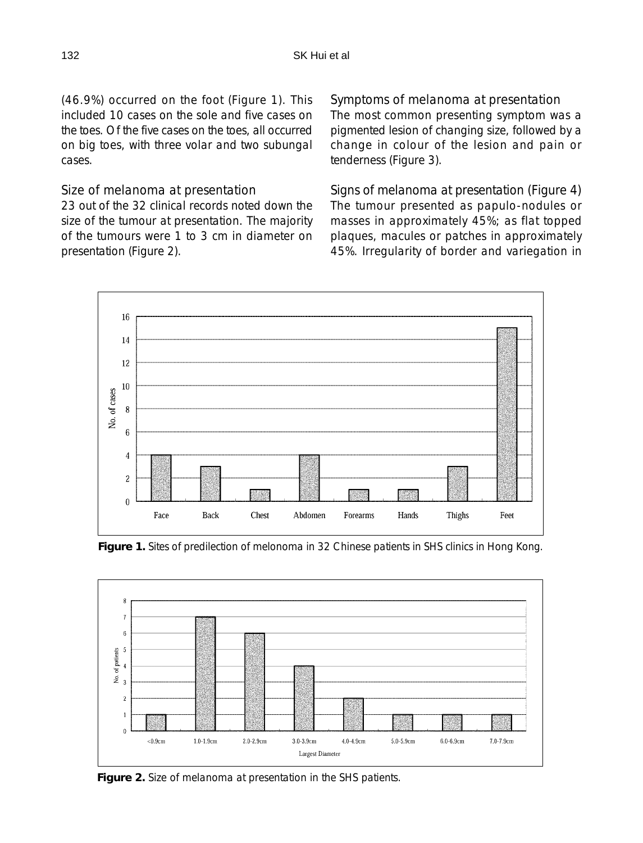(46.9%) occurred on the foot (Figure 1). This included 10 cases on the sole and five cases on the toes. Of the five cases on the toes, all occurred on big toes, with three volar and two subungal cases.

#### *Size of melanoma at presentation*

23 out of the 32 clinical records noted down the size of the tumour at presentation. The majority of the tumours were 1 to 3 cm in diameter on presentation (Figure 2).

#### *Symptoms of melanoma at presentation*

The most common presenting symptom was a pigmented lesion of changing size, followed by a change in colour of the lesion and pain or tenderness (Figure 3).

*Signs of melanoma at presentation (Figure 4)* The tumour presented as papulo-nodules or masses in approximately 45%; as flat topped plaques, macules or patches in approximately 45%. Irregularity of border and variegation in



**Figure 1.** Sites of predilection of melonoma in 32 Chinese patients in SHS clinics in Hong Kong.



**Figure 2.** Size of melanoma at presentation in the SHS patients.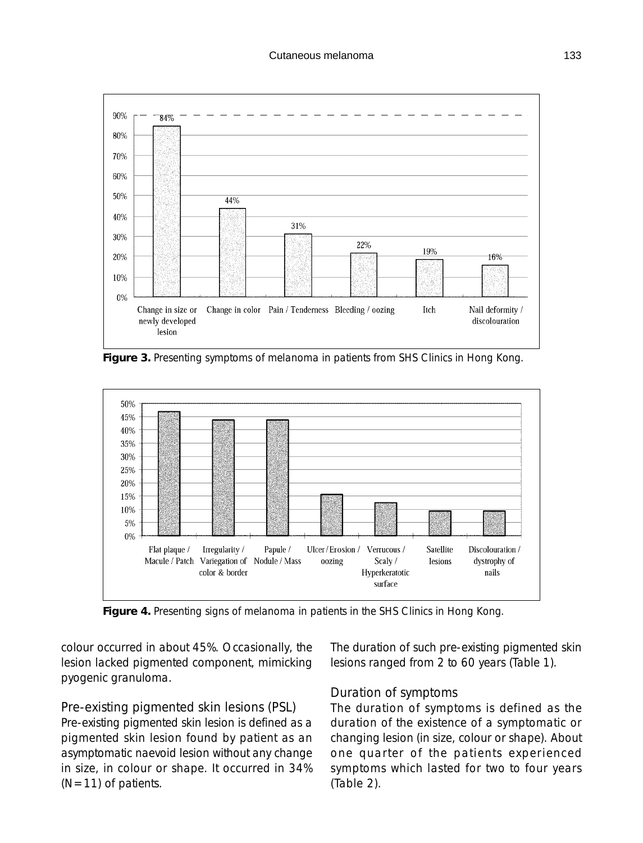

**Figure 3.** Presenting symptoms of melanoma in patients from SHS Clinics in Hong Kong.



**Figure 4.** Presenting signs of melanoma in patients in the SHS Clinics in Hong Kong.

colour occurred in about 45%. Occasionally, the lesion lacked pigmented component, mimicking pyogenic granuloma.

#### *Pre-existing pigmented skin lesions (PSL)*

Pre-existing pigmented skin lesion is defined as a pigmented skin lesion found by patient as an asymptomatic naevoid lesion without any change in size, in colour or shape. It occurred in 34%  $(N=11)$  of patients.

The duration of such pre-existing pigmented skin lesions ranged from 2 to 60 years (Table 1).

## *Duration of symptoms*

The duration of symptoms is defined as the duration of the existence of a symptomatic or changing lesion (in size, colour or shape). About one quarter of the patients experienced symptoms which lasted for two to four years (Table 2).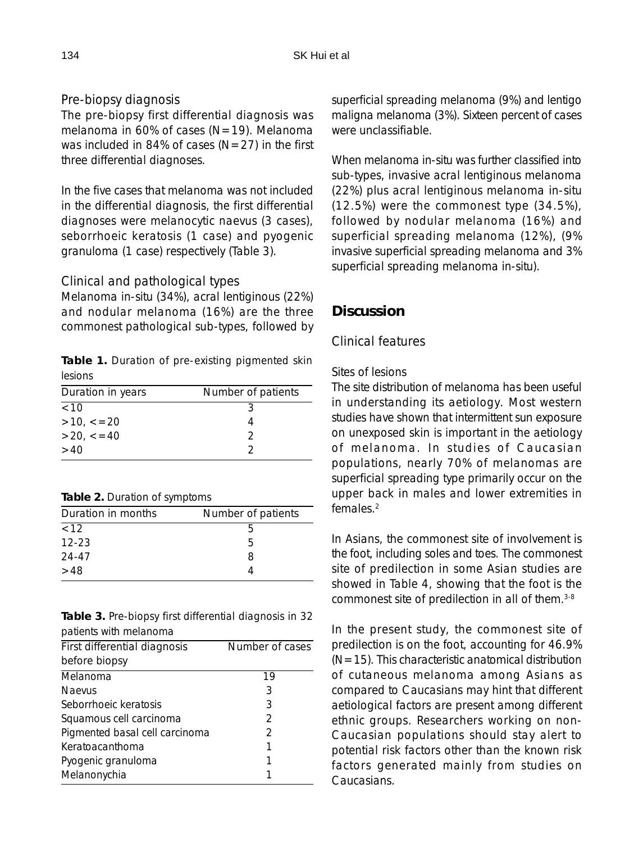### *Pre-biopsy diagnosis*

The pre-biopsy first differential diagnosis was melanoma in 60% of cases ( $N=19$ ). Melanoma was included in 84% of cases  $(N=27)$  in the first three differential diagnoses.

In the five cases that melanoma was not included in the differential diagnosis, the first differential diagnoses were melanocytic naevus (3 cases), seborrhoeic keratosis (1 case) and pyogenic granuloma (1 case) respectively (Table 3).

#### *Clinical and pathological types*

Melanoma in-situ (34%), acral lentiginous (22%) and nodular melanoma (16%) are the three commonest pathological sub-types, followed by

**Table 1.** Duration of pre-existing pigmented skin lesions

| Duration in years  | Number of patients |
|--------------------|--------------------|
| <10                |                    |
| $>10, \, \lt = 20$ |                    |
| >20. < 40          | ာ                  |
| >40                |                    |
|                    |                    |

| Table 2. Duration of symptoms |  |
|-------------------------------|--|
|-------------------------------|--|

| Duration in months | Number of patients |
|--------------------|--------------------|
| <12                | h                  |
| $12 - 23$          | 5                  |
| 24-47              | 8                  |
| >48                |                    |

**Table 3.** Pre-biopsy first differential diagnosis in 32 patients with melanoma

| First differential diagnosis   | Number of cases |
|--------------------------------|-----------------|
| before biopsy                  |                 |
| Melanoma                       | 19              |
| <b>Naevus</b>                  | 3               |
| Seborrhoeic keratosis          | 3               |
| Squamous cell carcinoma        | $\mathcal{P}$   |
| Pigmented basal cell carcinoma | 2               |
| Keratoacanthoma                | 1               |
| Pyogenic granuloma             | 1               |
| Melanonychia                   |                 |
|                                |                 |

superficial spreading melanoma (9%) and lentigo maligna melanoma (3%). Sixteen percent of cases were unclassifiable.

When melanoma in-situ was further classified into sub-types, invasive acral lentiginous melanoma (22%) plus acral lentiginous melanoma in-situ (12.5%) were the commonest type (34.5%), followed by nodular melanoma (16%) and superficial spreading melanoma (12%), (9% invasive superficial spreading melanoma and 3% superficial spreading melanoma in-situ).

## **Discussion**

## *Clinical features*

#### Sites of lesions

The site distribution of melanoma has been useful in understanding its aetiology. Most western studies have shown that intermittent sun exposure on unexposed skin is important in the aetiology of melanoma. In studies of Caucasian populations, nearly 70% of melanomas are superficial spreading type primarily occur on the upper back in males and lower extremities in females<sup>2</sup>

In Asians, the commonest site of involvement is the foot, including soles and toes. The commonest site of predilection in some Asian studies are showed in Table 4, showing that the foot is the commonest site of predilection in all of them.3-8

In the present study, the commonest site of predilection is on the foot, accounting for 46.9%  $(N=15)$ . This characteristic anatomical distribution of cutaneous melanoma among Asians as compared to Caucasians may hint that different aetiological factors are present among different ethnic groups. Researchers working on non-Caucasian populations should stay alert to potential risk factors other than the known risk factors generated mainly from studies on Caucasians.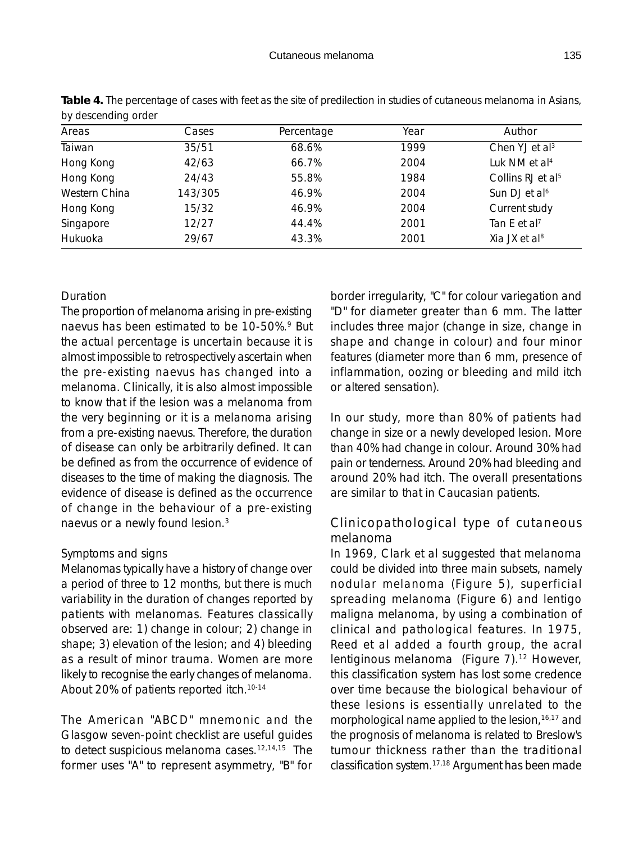| <b>Dy absoluting braci</b> |         |            |      |                               |
|----------------------------|---------|------------|------|-------------------------------|
| Areas                      | Cases   | Percentage | Year | Author                        |
| Taiwan                     | 35/51   | 68.6%      | 1999 | Chen YJ et $al3$              |
| Hong Kong                  | 42/63   | 66.7%      | 2004 | Luk NM et al <sup>4</sup>     |
| Hong Kong                  | 24/43   | 55.8%      | 1984 | Collins RJ et al <sup>5</sup> |
| Western China              | 143/305 | 46.9%      | 2004 | Sun DJ et al <sup>6</sup>     |
| Hong Kong                  | 15/32   | 46.9%      | 2004 | Current study                 |
| Singapore                  | 12/27   | 44.4%      | 2001 | Tan E et al <sup>7</sup>      |
| Hukuoka                    | 29/67   | 43.3%      | 2001 | Xia JX et al <sup>8</sup>     |
|                            |         |            |      |                               |

**Table 4.** The percentage of cases with feet as the site of predilection in studies of cutaneous melanoma in Asians, by descending order

#### Duration

The proportion of melanoma arising in pre-existing naevus has been estimated to be 10-50%.<sup>9</sup> But the actual percentage is uncertain because it is almost impossible to retrospectively ascertain when the pre-existing naevus has changed into a melanoma. Clinically, it is also almost impossible to know that if the lesion was a melanoma from the very beginning or it is a melanoma arising from a pre-existing naevus. Therefore, the duration of disease can only be arbitrarily defined. It can be defined as from the occurrence of evidence of diseases to the time of making the diagnosis. The evidence of disease is defined as the occurrence of change in the behaviour of a pre-existing naevus or a newly found lesion.3

#### Symptoms and signs

Melanomas typically have a history of change over a period of three to 12 months, but there is much variability in the duration of changes reported by patients with melanomas. Features classically observed are: 1) change in colour; 2) change in shape; 3) elevation of the lesion; and 4) bleeding as a result of minor trauma. Women are more likely to recognise the early changes of melanoma. About 20% of patients reported itch.<sup>10-14</sup>

The American "ABCD" mnemonic and the Glasgow seven-point checklist are useful guides to detect suspicious melanoma cases.<sup>12,14,15</sup> The former uses "A" to represent asymmetry, "B" for border irregularity, "C" for colour variegation and "D" for diameter greater than 6 mm. The latter includes three major (change in size, change in shape and change in colour) and four minor features (diameter more than 6 mm, presence of inflammation, oozing or bleeding and mild itch or altered sensation).

In our study, more than 80% of patients had change in size or a newly developed lesion. More than 40% had change in colour. Around 30% had pain or tenderness. Around 20% had bleeding and around 20% had itch. The overall presentations are similar to that in Caucasian patients.

#### *Clinicopathological type of cutaneous melanoma*

In 1969, Clark et al suggested that melanoma could be divided into three main subsets, namely nodular melanoma (Figure 5), superficial spreading melanoma (Figure 6) and lentigo maligna melanoma, by using a combination of clinical and pathological features. In 1975, Reed et al added a fourth group, the acral lentiginous melanoma (Figure 7).<sup>12</sup> However, this classification system has lost some credence over time because the biological behaviour of these lesions is essentially unrelated to the morphological name applied to the lesion,<sup>16,17</sup> and the prognosis of melanoma is related to Breslow's tumour thickness rather than the traditional classification system.17,18 Argument has been made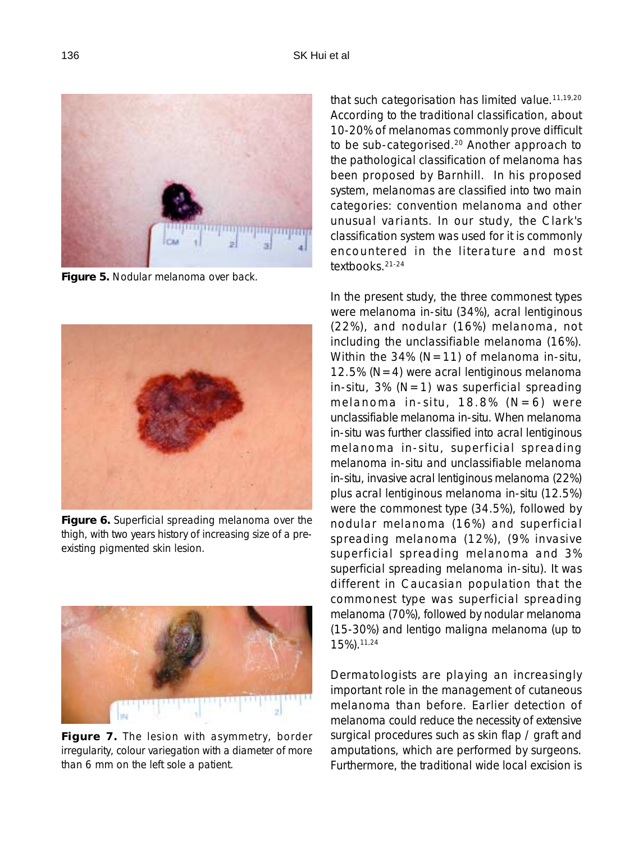

**Figure 5.** Nodular melanoma over back.



**Figure 6.** Superficial spreading melanoma over the thigh, with two years history of increasing size of a preexisting pigmented skin lesion.



**Figure 7.** The lesion with asymmetry, border irregularity, colour variegation with a diameter of more than 6 mm on the left sole a patient.

that such categorisation has limited value.<sup>11,19,20</sup> According to the traditional classification, about 10-20% of melanomas commonly prove difficult to be sub-categorised.<sup>20</sup> Another approach to the pathological classification of melanoma has been proposed by Barnhill. In his proposed system, melanomas are classified into two main categories: convention melanoma and other unusual variants. In our study, the Clark's classification system was used for it is commonly encountered in the literature and most textbooks.21-24

In the present study, the three commonest types were melanoma in-situ (34%), acral lentiginous (22%), and nodular (16%) melanoma, not including the unclassifiable melanoma (16%). Within the 34% ( $N=11$ ) of melanoma in-situ, 12.5% ( $N=4$ ) were acral lentiginous melanoma in-situ, 3% ( $N=1$ ) was superficial spreading melanoma in-situ,  $18.8\%$  (N=6) were unclassifiable melanoma in-situ. When melanoma in-situ was further classified into acral lentiginous melanoma in-situ, superficial spreading melanoma in-situ and unclassifiable melanoma in-situ, invasive acral lentiginous melanoma (22%) plus acral lentiginous melanoma in-situ (12.5%) were the commonest type (34.5%), followed by nodular melanoma (16%) and superficial spreading melanoma (12%), (9% invasive superficial spreading melanoma and 3% superficial spreading melanoma in-situ). It was different in Caucasian population that the commonest type was superficial spreading melanoma (70%), followed by nodular melanoma (15-30%) and lentigo maligna melanoma (up to 15%).11,24

Dermatologists are playing an increasingly important role in the management of cutaneous melanoma than before. Earlier detection of melanoma could reduce the necessity of extensive surgical procedures such as skin flap / graft and amputations, which are performed by surgeons. Furthermore, the traditional wide local excision is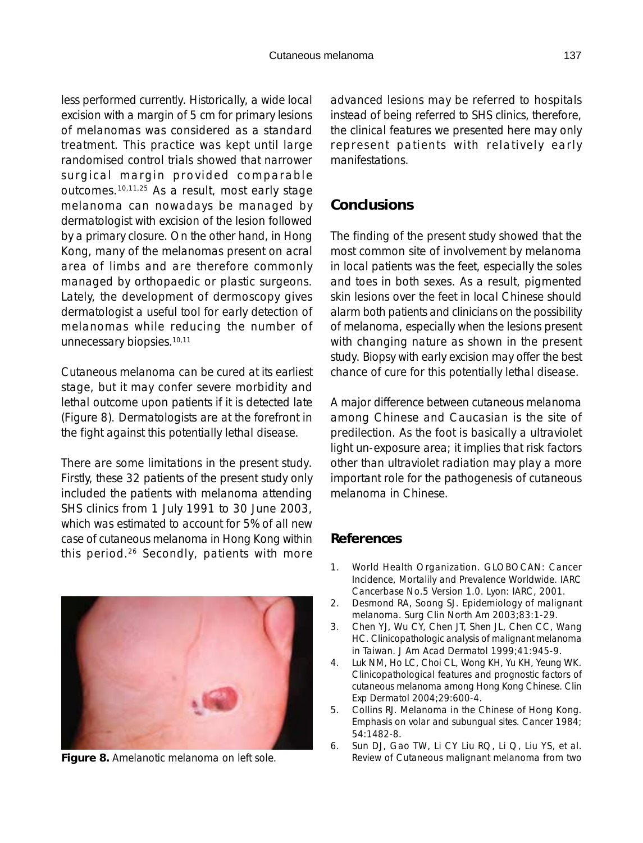less performed currently. Historically, a wide local excision with a margin of 5 cm for primary lesions of melanomas was considered as a standard treatment. This practice was kept until large randomised control trials showed that narrower surgical margin provided comparable outcomes.10,11,25 As a result, most early stage melanoma can nowadays be managed by dermatologist with excision of the lesion followed by a primary closure. On the other hand, in Hong Kong, many of the melanomas present on acral area of limbs and are therefore commonly managed by orthopaedic or plastic surgeons. Lately, the development of dermoscopy gives dermatologist a useful tool for early detection of melanomas while reducing the number of unnecessary biopsies.<sup>10,11</sup>

Cutaneous melanoma can be cured at its earliest stage, but it may confer severe morbidity and lethal outcome upon patients if it is detected late (Figure 8). Dermatologists are at the forefront in the fight against this potentially lethal disease.

There are some limitations in the present study. Firstly, these 32 patients of the present study only included the patients with melanoma attending SHS clinics from 1 July 1991 to 30 June 2003, which was estimated to account for 5% of all new case of cutaneous melanoma in Hong Kong within this period.26 Secondly, patients with more advanced lesions may be referred to hospitals instead of being referred to SHS clinics, therefore, the clinical features we presented here may only represent patients with relatively early manifestations.

## **Conclusions**

The finding of the present study showed that the most common site of involvement by melanoma in local patients was the feet, especially the soles and toes in both sexes. As a result, pigmented skin lesions over the feet in local Chinese should alarm both patients and clinicians on the possibility of melanoma, especially when the lesions present with changing nature as shown in the present study. Biopsy with early excision may offer the best chance of cure for this potentially lethal disease.

A major difference between cutaneous melanoma among Chinese and Caucasian is the site of predilection. As the foot is basically a ultraviolet light un-exposure area; it implies that risk factors other than ultraviolet radiation may play a more important role for the pathogenesis of cutaneous melanoma in Chinese.

## **References**

- 1. World Health Organization. GLOBOCAN: Cancer Incidence, Mortalily and Prevalence Worldwide. IARC Cancerbase No.5 Version 1.0. Lyon: IARC, 2001.
- 2. Desmond RA, Soong SJ. Epidemiology of malignant melanoma. Surg Clin North Am 2003;83:1-29.
- 3. Chen YJ, Wu CY, Chen JT, Shen JL, Chen CC, Wang HC. Clinicopathologic analysis of malignant melanoma in Taiwan. J Am Acad Dermatol 1999;41:945-9.
- 4. Luk NM, Ho LC, Choi CL, Wong KH, Yu KH, Yeung WK. Clinicopathological features and prognostic factors of cutaneous melanoma among Hong Kong Chinese. Clin Exp Dermatol 2004;29:600-4.
- 5. Collins RJ. Melanoma in the Chinese of Hong Kong. Emphasis on volar and subungual sites. Cancer 1984; 54:1482-8.
- 6. Sun DJ, Gao TW, Li CY Liu RQ, Li Q, Liu YS, et al. **Figure 8.** Amelanotic melanoma on left sole. Review of Cutaneous malignant melanoma from two

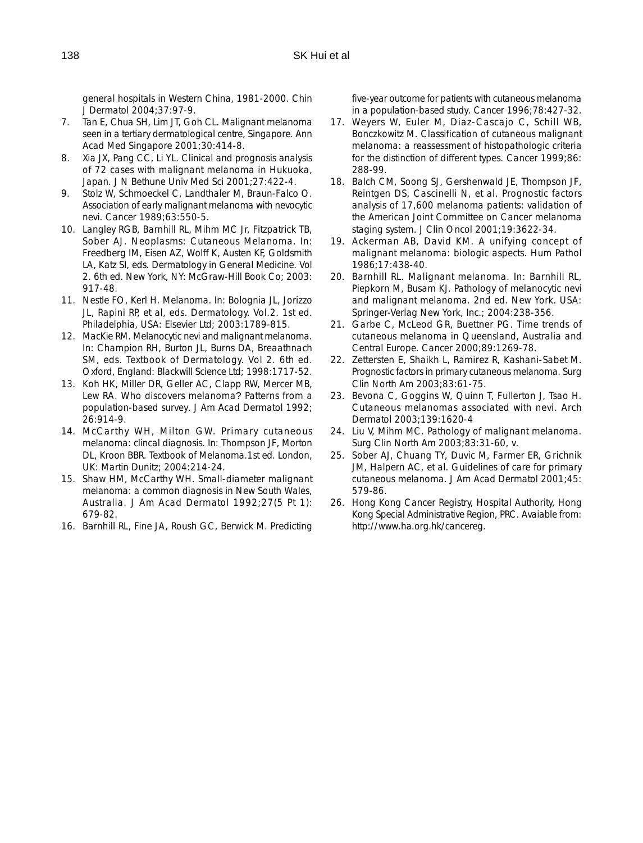general hospitals in Western China, 1981-2000. Chin J Dermatol 2004;37:97-9.

- 7. Tan E, Chua SH, Lim JT, Goh CL. Malignant melanoma seen in a tertiary dermatological centre, Singapore. Ann Acad Med Singapore 2001;30:414-8.
- 8. Xia JX, Pang CC, Li YL. Clinical and prognosis analysis of 72 cases with malignant melanoma in Hukuoka, Japan. J N Bethune Univ Med Sci 2001;27:422-4.
- 9. Stolz W, Schmoeckel C, Landthaler M, Braun-Falco O. Association of early malignant melanoma with nevocytic nevi. Cancer 1989;63:550-5.
- 10. Langley RGB, Barnhill RL, Mihm MC Jr, Fitzpatrick TB, Sober AJ. Neoplasms: Cutaneous Melanoma. In: Freedberg IM, Eisen AZ, Wolff K, Austen KF, Goldsmith LA, Katz SI, eds. Dermatology in General Medicine. Vol 2. 6th ed. New York, NY: McGraw-Hill Book Co; 2003: 917-48.
- 11. Nestle FO, Kerl H. Melanoma. In: Bolognia JL, Jorizzo JL, Rapini RP, et al, eds. Dermatology. Vol.2. 1st ed. Philadelphia, USA: Elsevier Ltd; 2003:1789-815.
- 12. MacKie RM. Melanocytic nevi and malignant melanoma. In: Champion RH, Burton JL, Burns DA, Breaathnach SM, eds. Textbook of Dermatology. Vol 2. 6th ed. Oxford, England: Blackwill Science Ltd; 1998:1717-52.
- 13. Koh HK, Miller DR, Geller AC, Clapp RW, Mercer MB, Lew RA. Who discovers melanoma? Patterns from a population-based survey. J Am Acad Dermatol 1992; 26:914-9.
- 14. McCarthy WH, Milton GW. Primary cutaneous melanoma: clincal diagnosis. In: Thompson JF, Morton DL, Kroon BBR. Textbook of Melanoma.1st ed. London, UK: Martin Dunitz; 2004:214-24.
- 15. Shaw HM, McCarthy WH. Small-diameter malignant melanoma: a common diagnosis in New South Wales, Australia. J Am Acad Dermatol 1992;27(5 Pt 1): 679-82.
- 16. Barnhill RL, Fine JA, Roush GC, Berwick M. Predicting

five-year outcome for patients with cutaneous melanoma in a population-based study. Cancer 1996;78:427-32.

- 17. Weyers W, Euler M, Diaz-Cascajo C, Schill WB, Bonczkowitz M. Classification of cutaneous malignant melanoma: a reassessment of histopathologic criteria for the distinction of different types. Cancer 1999;86: 288-99.
- 18. Balch CM, Soong SJ, Gershenwald JE, Thompson JF, Reintgen DS, Cascinelli N, et al. Prognostic factors analysis of 17,600 melanoma patients: validation of the American Joint Committee on Cancer melanoma staging system. J Clin Oncol 2001;19:3622-34.
- 19. Ackerman AB, David KM. A unifying concept of malignant melanoma: biologic aspects. Hum Pathol 1986;17:438-40.
- 20. Barnhill RL. Malignant melanoma. In: Barnhill RL, Piepkorn M, Busam KJ. Pathology of melanocytic nevi and malignant melanoma. 2nd ed. New York. USA: Springer-Verlag New York, Inc.; 2004:238-356.
- 21. Garbe C, McLeod GR, Buettner PG. Time trends of cutaneous melanoma in Queensland, Australia and Central Europe. Cancer 2000;89:1269-78.
- 22. Zettersten E, Shaikh L, Ramirez R, Kashani-Sabet M. Prognostic factors in primary cutaneous melanoma. Surg Clin North Am 2003;83:61-75.
- 23. Bevona C, Goggins W, Quinn T, Fullerton J, Tsao H. Cutaneous melanomas associated with nevi. Arch Dermatol 2003;139:1620-4
- 24. Liu V, Mihm MC. Pathology of malignant melanoma. Surg Clin North Am 2003;83:31-60, v.
- 25. Sober AJ, Chuang TY, Duvic M, Farmer ER, Grichnik JM, Halpern AC, et al. Guidelines of care for primary cutaneous melanoma. J Am Acad Dermatol 2001;45: 579-86.
- 26. Hong Kong Cancer Registry, Hospital Authority, Hong Kong Special Administrative Region, PRC. Avaiable from: http://www.ha.org.hk/cancereg.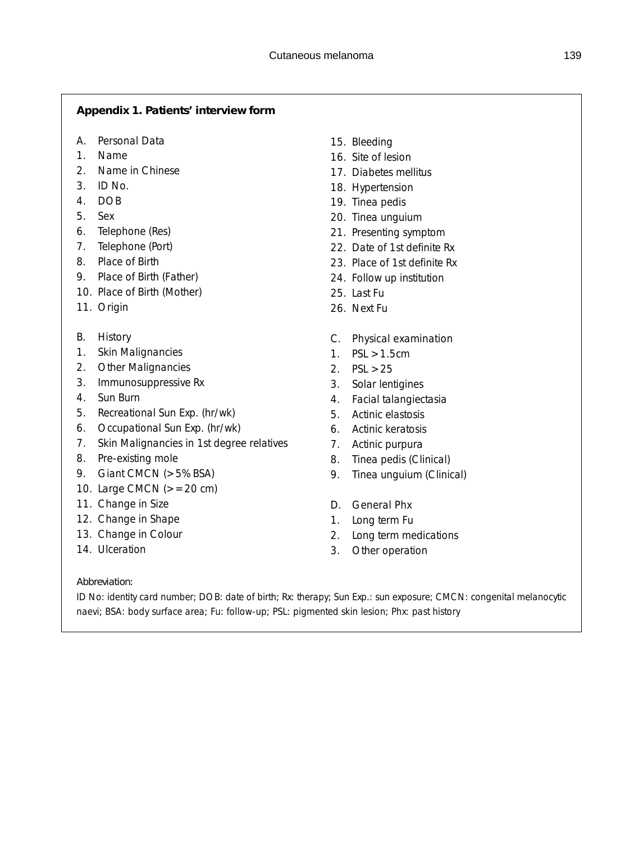#### **Appendix 1. Patients' interview form**

- *A. Personal Data*
- 1. Name
- 2. Name in Chinese
- 3. ID No.
- 4. DOB
- 5. Sex
- 6. Telephone (Res)
- 7. Telephone (Port)
- 8. Place of Birth
- 9. Place of Birth (Father)
- 10. Place of Birth (Mother)
- 11. Origin
- *B. History*
- 1. Skin Malignancies
- 2. Other Malignancies
- 3. Immunosuppressive Rx
- 4. Sun Burn
- 5. Recreational Sun Exp. (hr/wk)
- 6. Occupational Sun Exp. (hr/wk)
- 7. Skin Malignancies in 1st degree relatives
- 8. Pre-existing mole
- 9. Giant CMCN (>5% BSA)
- 10. Large CMCN  $(>=20 \text{ cm})$
- 11. Change in Size
- 12. Change in Shape
- 13. Change in Colour
- 14. Ulceration
- 15. Bleeding
- 16. Site of lesion
- 17. Diabetes mellitus
- 18. Hypertension
- 19. Tinea pedis
- 20. Tinea unguium
- 21. Presenting symptom
- 22. Date of 1st definite Rx
- 23. Place of 1st definite Rx
- 24. Follow up institution
- 25. Last Fu
- 26. Next Fu
- *C. Physical examination*
- 1. PSL >1.5cm
- 2. PSL >25
- 3. Solar lentigines
- 4. Facial talangiectasia
- 5. Actinic elastosis
- 6. Actinic keratosis
- 7. Actinic purpura
- 8. Tinea pedis (Clinical)
- 9. Tinea unguium (Clinical)
- *D. General Phx*
- 1. Long term Fu
- 2. Long term medications
- 3. Other operation

#### *Abbreviation:*

ID No: identity card number; DOB: date of birth; Rx: therapy; Sun Exp.: sun exposure; CMCN: congenital melanocytic naevi; BSA: body surface area; Fu: follow-up; PSL: pigmented skin lesion; Phx: past history